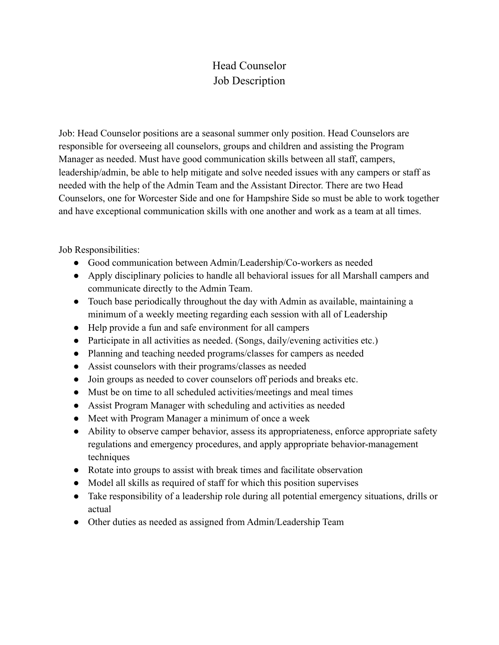## Head Counselor Job Description

Job: Head Counselor positions are a seasonal summer only position. Head Counselors are responsible for overseeing all counselors, groups and children and assisting the Program Manager as needed. Must have good communication skills between all staff, campers, leadership/admin, be able to help mitigate and solve needed issues with any campers or staff as needed with the help of the Admin Team and the Assistant Director. There are two Head Counselors, one for Worcester Side and one for Hampshire Side so must be able to work together and have exceptional communication skills with one another and work as a team at all times.

Job Responsibilities:

- Good communication between Admin/Leadership/Co-workers as needed
- Apply disciplinary policies to handle all behavioral issues for all Marshall campers and communicate directly to the Admin Team.
- Touch base periodically throughout the day with Admin as available, maintaining a minimum of a weekly meeting regarding each session with all of Leadership
- Help provide a fun and safe environment for all campers
- Participate in all activities as needed. (Songs, daily/evening activities etc.)
- Planning and teaching needed programs/classes for campers as needed
- Assist counselors with their programs/classes as needed
- Join groups as needed to cover counselors off periods and breaks etc.
- Must be on time to all scheduled activities/meetings and meal times
- Assist Program Manager with scheduling and activities as needed
- Meet with Program Manager a minimum of once a week
- Ability to observe camper behavior, assess its appropriateness, enforce appropriate safety regulations and emergency procedures, and apply appropriate behavior-management techniques
- Rotate into groups to assist with break times and facilitate observation
- Model all skills as required of staff for which this position supervises
- Take responsibility of a leadership role during all potential emergency situations, drills or actual
- Other duties as needed as assigned from Admin/Leadership Team